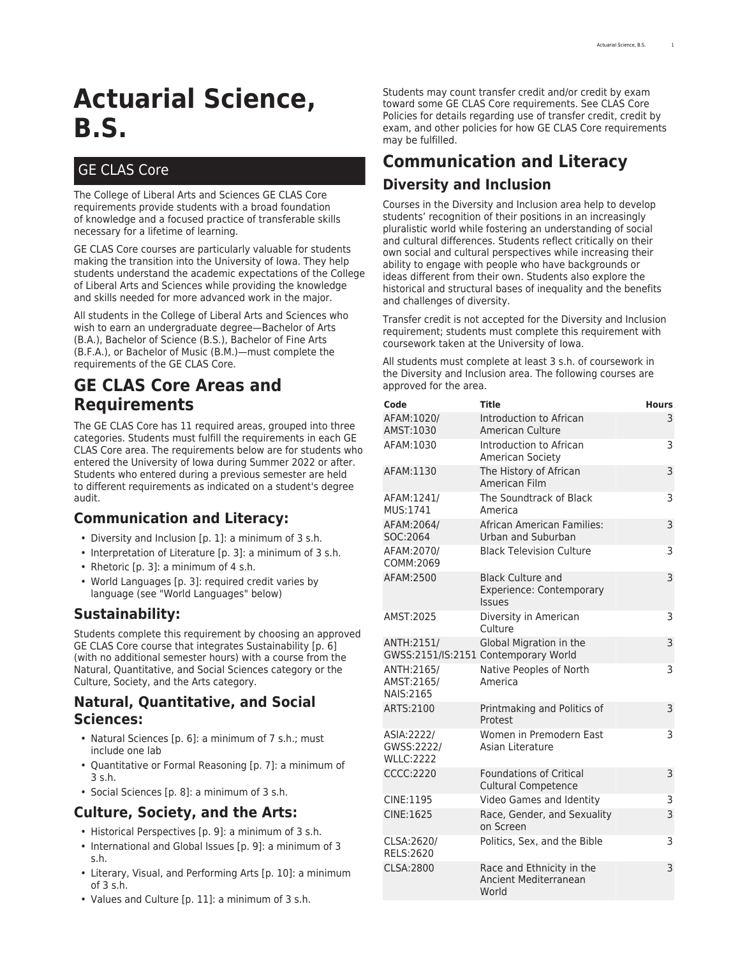# **Actuarial Science, B.S.**

## GE CLAS Core

The College of Liberal Arts and Sciences GE CLAS Core requirements provide students with a broad foundation of knowledge and a focused practice of transferable skills necessary for a lifetime of learning.

GE CLAS Core courses are particularly valuable for students making the transition into the University of Iowa. They help students understand the academic expectations of the College of Liberal Arts and Sciences while providing the knowledge and skills needed for more advanced work in the major.

All students in the College of Liberal Arts and Sciences who wish to earn an undergraduate degree—Bachelor of Arts (B.A.), Bachelor of Science (B.S.), Bachelor of Fine Arts (B.F.A.), or Bachelor of Music (B.M.)—must complete the requirements of the GE CLAS Core.

## **GE CLAS Core Areas and Requirements**

The GE CLAS Core has 11 required areas, grouped into three categories. Students must fulfill the requirements in each GE CLAS Core area. The requirements below are for students who entered the University of Iowa during Summer 2022 or after. Students who entered during a previous semester are held to different requirements as indicated on a student's degree audit.

## **Communication and Literacy:**

- [Diversity and Inclusion](#page-0-0) [[p. 1](#page-0-0)]: a minimum of 3 s.h.
- [Interpretation of Literature \[p. 3\]](#page-2-0): a minimum of 3 s.h.
- [Rhetoric](#page-2-1) [[p. 3](#page-2-1)]: a minimum of 4 s.h.
- [World Languages \[p. 3\]](#page-2-2): required credit varies by language (see "World Languages" below)

## **Sustainability:**

Students complete this requirement by choosing an approved GE CLAS Core course that integrates [Sustainability \[p. 6\]](#page-5-0) (with no additional semester hours) with a course from the Natural, Quantitative, and Social Sciences category or the Culture, Society, and the Arts category.

### **Natural, Quantitative, and Social Sciences:**

- [Natural Sciences](#page-5-1) [[p. 6](#page-5-1)]: a minimum of 7 s.h.; must include one lab
- [Quantitative or Formal Reasoning](#page-6-0) [[p. 7](#page-6-0)]: a minimum of 3 s.h.
- [Social Sciences \[p. 8\]](#page-7-0): a minimum of 3 s.h.

## **Culture, Society, and the Arts:**

- [Historical Perspectives \[p. 9\]](#page-8-0): a minimum of 3 s.h.
- [International and Global Issues \[p. 9\]](#page-8-1): a minimum of 3 s.h.
- [Literary, Visual, and Performing Arts](#page-9-0) [[p. 10](#page-9-0)]: a minimum of 3 s.h.
- [Values and Culture \[p. 11\]](#page-10-0): a minimum of 3 s.h.

Students may count transfer credit and/or credit by exam toward some GE CLAS Core requirements. See [CLAS Core](https://clas.uiowa.edu/students/handbook/requirements-bachelors-degree/#policies) [Policies](https://clas.uiowa.edu/students/handbook/requirements-bachelors-degree/#policies) for details regarding use of transfer credit, credit by exam, and other policies for how GE CLAS Core requirements may be fulfilled.

## <span id="page-0-0"></span>**Communication and Literacy Diversity and Inclusion**

Courses in the Diversity and Inclusion area help to develop students' recognition of their positions in an increasingly pluralistic world while fostering an understanding of social and cultural differences. Students reflect critically on their own social and cultural perspectives while increasing their ability to engage with people who have backgrounds or ideas different from their own. Students also explore the historical and structural bases of inequality and the benefits and challenges of diversity.

Transfer credit is not accepted for the Diversity and Inclusion requirement; students must complete this requirement with coursework taken at the University of Iowa.

All students must complete at least 3 s.h. of coursework in the Diversity and Inclusion area. The following courses are approved for the area.

| Code                                          | Title                                                                        | <b>Hours</b> |
|-----------------------------------------------|------------------------------------------------------------------------------|--------------|
| AFAM:1020/<br>AMST:1030                       | Introduction to African<br>American Culture                                  | 3            |
| AFAM:1030                                     | Introduction to African<br>American Society                                  | 3            |
| AFAM:1130                                     | The History of African<br>American Film                                      | 3            |
| AFAM:1241/<br>MUS:1741                        | The Soundtrack of Black<br>America                                           | 3            |
| AFAM:2064/<br>SOC:2064                        | African American Families:<br>Urban and Suburban                             | 3            |
| AFAM:2070/<br>COMM:2069                       | <b>Black Television Culture</b>                                              | 3            |
| AFAM:2500                                     | <b>Black Culture and</b><br><b>Experience: Contemporary</b><br><b>Issues</b> | 3            |
| AMST:2025                                     | Diversity in American<br>Culture                                             | 3            |
| ANTH:2151/                                    | Global Migration in the<br>GWSS:2151/IS:2151 Contemporary World              | 3            |
| ANTH:2165/<br>AMST:2165/<br><b>NAIS:2165</b>  | Native Peoples of North<br>America                                           | 3            |
| ARTS:2100                                     | Printmaking and Politics of<br>Protest                                       | 3            |
| ASIA: 2222/<br>GWSS:2222/<br><b>WLLC:2222</b> | Women in Premodern East<br>Asian Literature                                  | 3            |
| <b>CCCC:2220</b>                              | <b>Foundations of Critical</b><br><b>Cultural Competence</b>                 | 3            |
| CINE:1195                                     | Video Games and Identity                                                     | 3            |
| CINE:1625                                     | Race, Gender, and Sexuality<br>on Screen                                     | 3            |
| CLSA: 2620/<br>RELS:2620                      | Politics, Sex, and the Bible                                                 | 3            |
| CLSA:2800                                     | Race and Ethnicity in the<br>Ancient Mediterranean<br>World                  | 3            |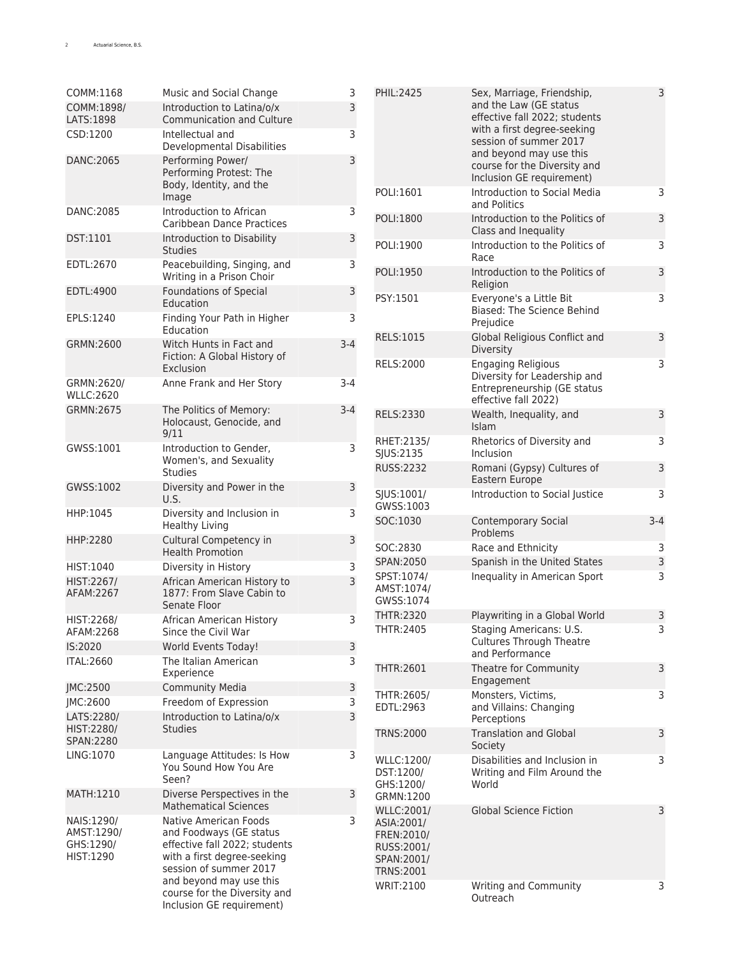| COMM:1168                                          | Music and Social Change                                                                                                                    | 3       | PHIL:2425                                                                 | Sex, Marriage, Friendship,                                                          | 3       |
|----------------------------------------------------|--------------------------------------------------------------------------------------------------------------------------------------------|---------|---------------------------------------------------------------------------|-------------------------------------------------------------------------------------|---------|
| COMM:1898/<br>LATS:1898                            | Introduction to Latina/o/x<br>Communication and Culture                                                                                    | 3       |                                                                           | and the Law (GE status<br>effective fall 2022; students                             |         |
| CSD:1200                                           | Intellectual and<br>Developmental Disabilities                                                                                             | 3       |                                                                           | with a first degree-seeking<br>session of summer 2017<br>and beyond may use this    |         |
| DANC:2065                                          | Performing Power/<br>Performing Protest: The<br>Body, Identity, and the                                                                    | 3       |                                                                           | course for the Diversity and<br>Inclusion GE requirement)                           |         |
| DANC:2085                                          | Image                                                                                                                                      |         | POLI:1601                                                                 | Introduction to Social Media<br>and Politics                                        | 3       |
|                                                    | Introduction to African<br>Caribbean Dance Practices                                                                                       | 3       | POLI:1800                                                                 | Introduction to the Politics of<br>Class and Inequality                             | 3       |
| DST:1101                                           | Introduction to Disability<br><b>Studies</b>                                                                                               | 3       | POLI:1900                                                                 | Introduction to the Politics of<br>Race                                             | 3       |
| EDTL:2670                                          | Peacebuilding, Singing, and<br>Writing in a Prison Choir                                                                                   | 3       | POLI:1950                                                                 | Introduction to the Politics of<br>Religion                                         | 3       |
| EDTL:4900                                          | <b>Foundations of Special</b><br>Education                                                                                                 | 3       | PSY:1501                                                                  | Everyone's a Little Bit<br>Biased: The Science Behind                               | 3       |
| EPLS:1240                                          | Finding Your Path in Higher<br>Education                                                                                                   | 3       | RELS:1015                                                                 | Prejudice<br>Global Religious Conflict and                                          | 3       |
| GRMN:2600                                          | Witch Hunts in Fact and<br>Fiction: A Global History of                                                                                    | $3 - 4$ | RELS:2000                                                                 | Diversity<br><b>Engaging Religious</b>                                              | 3       |
| GRMN:2620/<br><b>WLLC:2620</b>                     | Exclusion<br>Anne Frank and Her Story                                                                                                      | $3 - 4$ |                                                                           | Diversity for Leadership and<br>Entrepreneurship (GE status<br>effective fall 2022) |         |
| GRMN:2675                                          | The Politics of Memory:<br>Holocaust, Genocide, and<br>9/11                                                                                | $3-4$   | RELS:2330                                                                 | Wealth, Inequality, and<br>Islam                                                    | 3       |
| GWSS:1001                                          | Introduction to Gender,<br>Women's, and Sexuality                                                                                          | 3       | RHET:2135/<br>SJUS:2135                                                   | Rhetorics of Diversity and<br>Inclusion                                             | 3       |
| GWSS:1002                                          | <b>Studies</b><br>Diversity and Power in the                                                                                               | 3       | RUSS:2232                                                                 | Romani (Gypsy) Cultures of<br>Eastern Europe                                        | 3       |
|                                                    | U.S.                                                                                                                                       |         | SJUS:1001/<br>GWSS:1003                                                   | Introduction to Social Justice                                                      | 3       |
| HHP:1045                                           | Diversity and Inclusion in<br><b>Healthy Living</b>                                                                                        | 3       | SOC:1030                                                                  | <b>Contemporary Social</b><br>Problems                                              | $3 - 4$ |
| HHP:2280                                           | Cultural Competency in<br><b>Health Promotion</b>                                                                                          | 3       | SOC:2830                                                                  | Race and Ethnicity                                                                  | 3       |
| HIST:1040                                          | Diversity in History                                                                                                                       | 3       | SPAN:2050                                                                 | Spanish in the United States                                                        | 3       |
| HIST:2267/<br>AFAM:2267                            | African American History to<br>1877: From Slave Cabin to<br>Senate Floor                                                                   | 3       | SPST:1074/<br>AMST:1074/<br>GWSS:1074                                     | Inequality in American Sport                                                        | 3       |
| HIST:2268/                                         | African American History                                                                                                                   | 3       | THTR:2320                                                                 | Playwriting in a Global World                                                       | 3       |
| AFAM:2268<br>IS:2020                               | Since the Civil War<br>World Events Today!                                                                                                 | 3       | THTR:2405                                                                 | Staging Americans: U.S.<br><b>Cultures Through Theatre</b><br>and Performance       | 3       |
| <b>ITAL:2660</b>                                   | The Italian American<br>Experience                                                                                                         | 3       | THTR:2601                                                                 | Theatre for Community<br>Engagement                                                 | 3       |
| JMC:2500                                           | <b>Community Media</b>                                                                                                                     | 3       | THTR:2605/                                                                | Monsters, Victims,                                                                  | 3       |
| JMC:2600                                           | Freedom of Expression                                                                                                                      | 3       | EDTL:2963                                                                 | and Villains: Changing                                                              |         |
| LATS:2280/<br>HIST:2280/<br>SPAN:2280              | Introduction to Latina/o/x<br><b>Studies</b>                                                                                               | 3       | <b>TRNS:2000</b>                                                          | Perceptions<br><b>Translation and Global</b>                                        | 3       |
| LING:1070                                          | Language Attitudes: Is How<br>You Sound How You Are<br>Seen?                                                                               | 3       | WLLC:1200/<br>DST:1200/<br>GHS:1200/                                      | Society<br>Disabilities and Inclusion in<br>Writing and Film Around the<br>World    | 3       |
| MATH:1210                                          | Diverse Perspectives in the<br><b>Mathematical Sciences</b>                                                                                | 3       | GRMN:1200<br>WLLC:2001/                                                   | <b>Global Science Fiction</b>                                                       | 3       |
| NAIS:1290/<br>AMST:1290/<br>GHS:1290/<br>HIST:1290 | Native American Foods<br>and Foodways (GE status<br>effective fall 2022; students<br>with a first degree-seeking<br>session of summer 2017 | 3       | ASIA:2001/<br>FREN: 2010/<br>RUSS:2001/<br>SPAN:2001/<br><b>TRNS:2001</b> |                                                                                     |         |
|                                                    | and beyond may use this<br>course for the Diversity and<br>Inclusion GE requirement)                                                       |         | WRIT:2100                                                                 | Writing and Community<br>Outreach                                                   | 3       |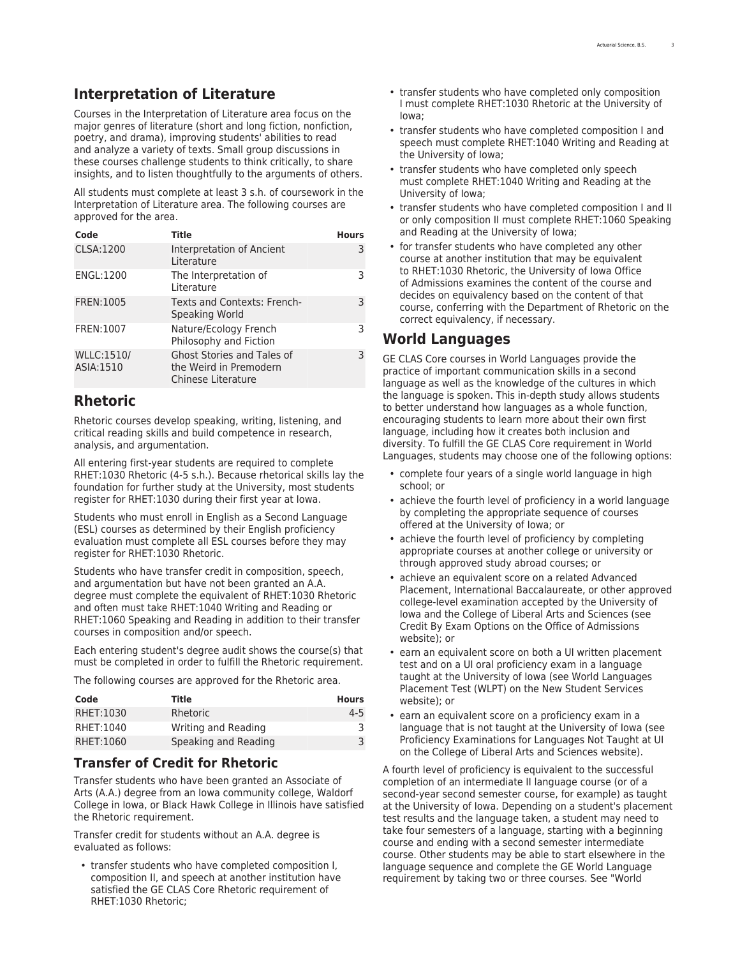## <span id="page-2-0"></span>**Interpretation of Literature**

Courses in the Interpretation of Literature area focus on the major genres of literature (short and long fiction, nonfiction, poetry, and drama), improving students' abilities to read and analyze a variety of texts. Small group discussions in these courses challenge students to think critically, to share insights, and to listen thoughtfully to the arguments of others.

All students must complete at least 3 s.h. of coursework in the Interpretation of Literature area. The following courses are approved for the area.

| Code                           | <b>Title</b>                                                               | <b>Hours</b> |
|--------------------------------|----------------------------------------------------------------------------|--------------|
| <b>CLSA:1200</b>               | Interpretation of Ancient<br>Literature                                    | 3            |
| ENGL:1200                      | The Interpretation of<br>Literature                                        | 3            |
| FREN:1005                      | Texts and Contexts: French-<br>Speaking World                              | 3            |
| FREN:1007                      | Nature/Ecology French<br>Philosophy and Fiction                            | З            |
| <b>WLLC:1510/</b><br>ASIA:1510 | Ghost Stories and Tales of<br>the Weird in Premodern<br>Chinese Literature | 3            |

## <span id="page-2-1"></span>**Rhetoric**

Rhetoric courses develop speaking, writing, listening, and critical reading skills and build competence in research, analysis, and argumentation.

All entering first-year students are required to complete RHET:1030 Rhetoric (4-5 s.h.). Because rhetorical skills lay the foundation for further study at the University, most students register for RHET:1030 during their first year at Iowa.

Students who must enroll in English as a Second Language (ESL) courses as determined by their English proficiency evaluation must complete all ESL courses before they may register for RHET:1030 Rhetoric.

Students who have transfer credit in composition, speech, and argumentation but have not been granted an A.A. degree must complete the equivalent of RHET:1030 Rhetoric and often must take RHET:1040 Writing and Reading or RHET:1060 Speaking and Reading in addition to their transfer courses in composition and/or speech.

Each entering student's degree audit shows the course(s) that must be completed in order to fulfill the Rhetoric requirement.

The following courses are approved for the Rhetoric area.

| Code      | Title                | <b>Hours</b> |
|-----------|----------------------|--------------|
| RHET:1030 | Rhetoric             | $4 - 5$      |
| RHET:1040 | Writing and Reading  |              |
| RHET:1060 | Speaking and Reading |              |

#### **Transfer of Credit for Rhetoric**

Transfer students who have been granted an Associate of Arts (A.A.) degree from an Iowa community college, Waldorf College in Iowa, or Black Hawk College in Illinois have satisfied the Rhetoric requirement.

Transfer credit for students without an A.A. degree is evaluated as follows:

• transfer students who have completed composition I, composition II, and speech at another institution have satisfied the GE CLAS Core Rhetoric requirement of RHET:1030 Rhetoric;

- transfer students who have completed only composition I must complete RHET:1030 Rhetoric at the University of Iowa;
- transfer students who have completed composition I and speech must complete RHET:1040 Writing and Reading at the University of Iowa;
- transfer students who have completed only speech must complete RHET:1040 Writing and Reading at the University of Iowa;
- transfer students who have completed composition I and II or only composition II must complete RHET:1060 Speaking and Reading at the University of Iowa;
- for transfer students who have completed any other course at another institution that may be equivalent to RHET:1030 Rhetoric, the University of Iowa Office of Admissions examines the content of the course and decides on equivalency based on the content of that course, conferring with the Department of Rhetoric on the correct equivalency, if necessary.

## <span id="page-2-2"></span>**World Languages**

GE CLAS Core courses in World Languages provide the practice of important communication skills in a second language as well as the knowledge of the cultures in which the language is spoken. This in-depth study allows students to better understand how languages as a whole function, encouraging students to learn more about their own first language, including how it creates both inclusion and diversity. To fulfill the GE CLAS Core requirement in World Languages, students may choose one of the following options:

- complete four years of a single world language in high school; or
- achieve the fourth level of proficiency in a world language by completing the appropriate sequence of courses offered at the University of Iowa; or
- achieve the fourth level of proficiency by completing appropriate courses at another college or university or through approved study abroad courses; or
- achieve an equivalent score on a related Advanced Placement, International Baccalaureate, or other approved college-level examination accepted by the University of Iowa and the College of Liberal Arts and Sciences (see [Credit By Exam Options](https://admissions.uiowa.edu/academics/credit-exam-options/) on the Office of Admissions website); or
- earn an equivalent score on both a UI written placement test and on a UI oral proficiency exam in a language taught at the University of Iowa (see [World Languages](https://newstudents.uiowa.edu/preparing-take-ui-placement-tests/#World%20Lan) [Placement Test \(WLPT\)](https://newstudents.uiowa.edu/preparing-take-ui-placement-tests/#World%20Lan) on the New Student Services website); or
- earn an equivalent score on a proficiency exam in a language that is not taught at the University of Iowa (see [Proficiency Examinations for Languages Not Taught at UI](https://clas.uiowa.edu/students/proficiency-examinations-languages-not-taught-ui/#overlay-context=proficiency-examinations-languages-not-taught-ui) on the College of Liberal Arts and Sciences website).

A fourth level of proficiency is equivalent to the successful completion of an intermediate II language course (or of a second-year second semester course, for example) as taught at the University of Iowa. Depending on a student's placement test results and the language taken, a student may need to take four semesters of a language, starting with a beginning course and ending with a second semester intermediate course. Other students may be able to start elsewhere in the language sequence and complete the GE World Language requirement by taking two or three courses. See "World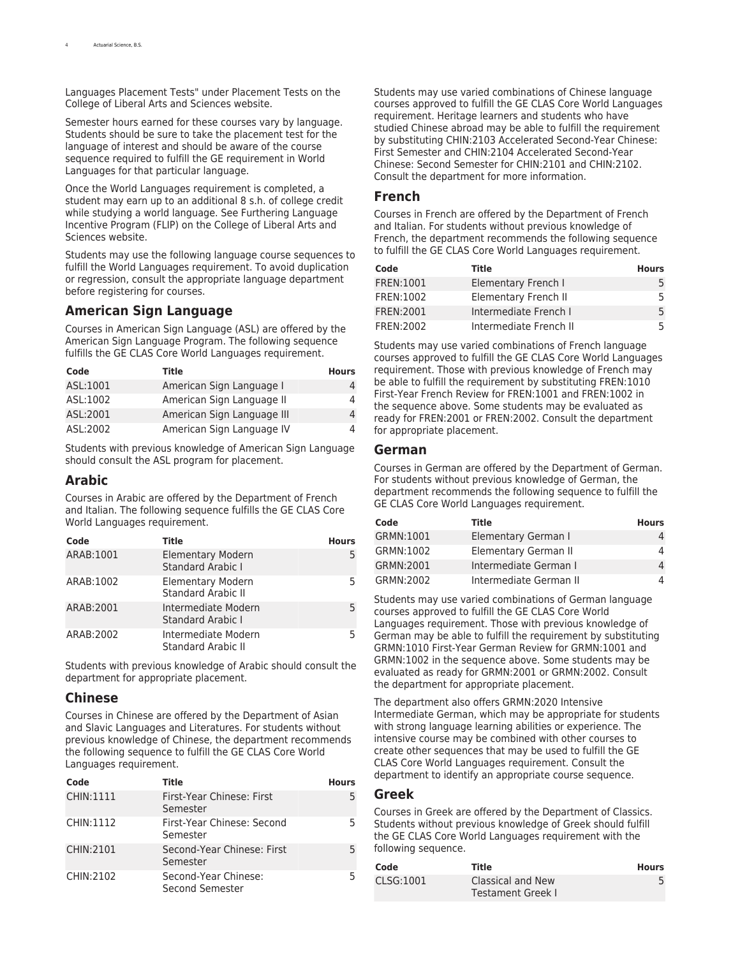Languages Placement Tests" under [Placement Tests](https://clas.uiowa.edu/students/students-general-education-clas-core/general-education-clas-core-policies/#Placement%20Tests) on the College of Liberal Arts and Sciences website.

Semester hours earned for these courses vary by language. Students should be sure to take the placement test for the language of interest and should be aware of the course sequence required to fulfill the GE requirement in World Languages for that particular language.

Once the World Languages requirement is completed, a student may earn up to an additional 8 s.h. of college credit while studying a world language. See [Furthering Language](https://clas.uiowa.edu/students/furthering-language-incentive-program-flip/) [Incentive Program \(FLIP\)](https://clas.uiowa.edu/students/furthering-language-incentive-program-flip/) on the College of Liberal Arts and Sciences website.

Students may use the following language course sequences to fulfill the World Languages requirement. To avoid duplication or regression, consult the appropriate language department before registering for courses.

#### **American Sign Language**

Courses in American Sign Language (ASL) are offered by the [American Sign Language](http://catalog.registrar.uiowa.edu/liberal-arts-sciences/american-sign-language/) Program. The following sequence fulfills the GE CLAS Core World Languages requirement.

| Code      | Title                      | <b>Hours</b> |
|-----------|----------------------------|--------------|
| ASL:1001  | American Sign Language I   |              |
| ASL:1002  | American Sign Language II  |              |
| ASL:2001  | American Sign Language III |              |
| ASI: 2002 | American Sign Language IV  |              |

Students with previous knowledge of American Sign Language should consult the ASL program for placement.

#### **Arabic**

Courses in Arabic are offered by the Department of [French](http://catalog.registrar.uiowa.edu/liberal-arts-sciences/french-italian/) [and Italian.](http://catalog.registrar.uiowa.edu/liberal-arts-sciences/french-italian/) The following sequence fulfills the GE CLAS Core World Languages requirement.

| Code      | <b>Title</b>                                          | <b>Hours</b> |
|-----------|-------------------------------------------------------|--------------|
| ARAB:1001 | <b>Elementary Modern</b><br><b>Standard Arabic I</b>  |              |
| ARAB:1002 | <b>Elementary Modern</b><br><b>Standard Arabic II</b> |              |
| ARAB:2001 | Intermediate Modern<br><b>Standard Arabic I</b>       | 5.           |
| ARAB:2002 | Intermediate Modern<br><b>Standard Arabic II</b>      |              |

Students with previous knowledge of Arabic should consult the department for appropriate placement.

#### **Chinese**

Courses in Chinese are offered by the Department of [Asian](http://catalog.registrar.uiowa.edu/liberal-arts-sciences/asian-slavic-languages-literatures/) [and Slavic Languages and Literatures](http://catalog.registrar.uiowa.edu/liberal-arts-sciences/asian-slavic-languages-literatures/). For students without previous knowledge of Chinese, the department recommends the following sequence to fulfill the GE CLAS Core World Languages requirement.

| Code      | Title                                   | <b>Hours</b> |
|-----------|-----------------------------------------|--------------|
| CHIN:1111 | First-Year Chinese: First<br>Semester   | 5            |
| CHIN:1112 | First-Year Chinese: Second<br>Semester  | 5            |
| CHIN:2101 | Second-Year Chinese: First<br>Semester  | 5            |
| CHIN:2102 | Second-Year Chinese:<br>Second Semester | 5            |

Students may use varied combinations of Chinese language courses approved to fulfill the GE CLAS Core World Languages requirement. Heritage learners and students who have studied Chinese abroad may be able to fulfill the requirement by substituting CHIN:2103 Accelerated Second-Year Chinese: First Semester and CHIN:2104 Accelerated Second-Year Chinese: Second Semester for CHIN:2101 and CHIN:2102. Consult the department for more information.

#### **French**

Courses in French are offered by the Department of [French](http://catalog.registrar.uiowa.edu/liberal-arts-sciences/french-italian/) [and Italian](http://catalog.registrar.uiowa.edu/liberal-arts-sciences/french-italian/). For students without previous knowledge of French, the department recommends the following sequence to fulfill the GE CLAS Core World Languages requirement.

| Code       | Title                  | <b>Hours</b> |
|------------|------------------------|--------------|
| FREN:1001  | Elementary French I    | 5.           |
| FREN: 1002 | Elementary French II   | 5.           |
| FREN: 2001 | Intermediate French I  | 5            |
| FREN: 2002 | Intermediate French II | 5.           |

Students may use varied combinations of French language courses approved to fulfill the GE CLAS Core World Languages requirement. Those with previous knowledge of French may be able to fulfill the requirement by substituting FREN:1010 First-Year French Review for FREN:1001 and FREN:1002 in the sequence above. Some students may be evaluated as ready for FREN:2001 or FREN:2002. Consult the department for appropriate placement.

#### **German**

Courses in German are offered by the Department of [German.](http://catalog.registrar.uiowa.edu/liberal-arts-sciences/german/) For students without previous knowledge of German, the department recommends the following sequence to fulfill the GE CLAS Core World Languages requirement.

| Code      | Title                  | <b>Hours</b> |
|-----------|------------------------|--------------|
| GRMN:1001 | Elementary German I    | 4            |
| GRMN:1002 | Elementary German II   | 4            |
| GRMN:2001 | Intermediate German I  | 4            |
| GRMN:2002 | Intermediate German II | 4            |

Students may use varied combinations of German language courses approved to fulfill the GE CLAS Core World Languages requirement. Those with previous knowledge of German may be able to fulfill the requirement by substituting GRMN:1010 First-Year German Review for GRMN:1001 and GRMN:1002 in the sequence above. Some students may be evaluated as ready for GRMN:2001 or GRMN:2002. Consult the department for appropriate placement.

The department also offers [GRMN:2020](http://search.uiowa.edu/search/?site=default_collection&proxystylesheet=default_frontend&sitesearch=www.registrar.uiowa.edu%2Fregistrar%2Fcatalog&q=GRMN%3A2020) Intensive Intermediate German, which may be appropriate for students with strong language learning abilities or experience. The intensive course may be combined with other courses to create other sequences that may be used to fulfill the GE CLAS Core World Languages requirement. Consult the department to identify an appropriate course sequence.

#### **Greek**

Courses in Greek are offered by the Department of [Classics.](http://catalog.registrar.uiowa.edu/liberal-arts-sciences/classics/) Students without previous knowledge of Greek should fulfill the GE CLAS Core World Languages requirement with the following sequence.

| Code      | Title                                  | <b>Hours</b> |
|-----------|----------------------------------------|--------------|
| CLSG:1001 | Classical and New<br>Testament Greek I |              |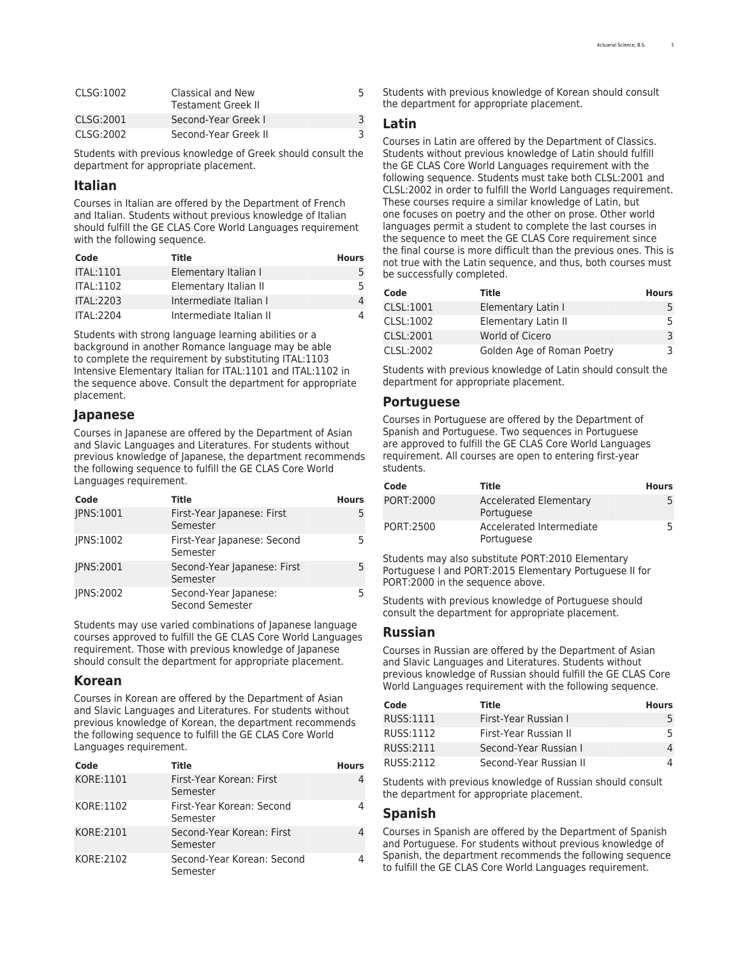| CLSG:1002 | Classical and New<br>Testament Greek II |  |
|-----------|-----------------------------------------|--|
| CLSG:2001 | Second-Year Greek I                     |  |
| CLSG:2002 | Second-Year Greek II                    |  |

Students with previous knowledge of Greek should consult the department for appropriate placement.

#### **Italian**

Courses in Italian are offered by the Department of [French](http://catalog.registrar.uiowa.edu/liberal-arts-sciences/french-italian/) [and Italian.](http://catalog.registrar.uiowa.edu/liberal-arts-sciences/french-italian/) Students without previous knowledge of Italian should fulfill the GE CLAS Core World Languages requirement with the following sequence.

| Code             | Title                   | <b>Hours</b> |
|------------------|-------------------------|--------------|
| <b>ITAL:1101</b> | Elementary Italian I    |              |
| <b>ITAL:1102</b> | Elementary Italian II   | 5.           |
| <b>ITAL:2203</b> | Intermediate Italian I  | 4            |
| <b>ITAL:2204</b> | Intermediate Italian II | 4            |

Students with strong language learning abilities or a background in another Romance language may be able to complete the requirement by substituting ITAL:1103 Intensive Elementary Italian for ITAL:1101 and ITAL:1102 in the sequence above. Consult the department for appropriate placement.

#### **Japanese**

Courses in Japanese are offered by the Department of [Asian](http://catalog.registrar.uiowa.edu/liberal-arts-sciences/asian-slavic-languages-literatures/) [and Slavic Languages and Literatures](http://catalog.registrar.uiowa.edu/liberal-arts-sciences/asian-slavic-languages-literatures/). For students without previous knowledge of Japanese, the department recommends the following sequence to fulfill the GE CLAS Core World Languages requirement.

| Code             | Title                                    | <b>Hours</b> |
|------------------|------------------------------------------|--------------|
| JPNS:1001        | First-Year Japanese: First<br>Semester   | 5            |
| <b>IPNS:1002</b> | First-Year Japanese: Second<br>Semester  | 5            |
| <b>IPNS:2001</b> | Second-Year Japanese: First<br>Semester  |              |
| <b>IPNS:2002</b> | Second-Year Japanese:<br>Second Semester |              |

Students may use varied combinations of Japanese language courses approved to fulfill the GE CLAS Core World Languages requirement. Those with previous knowledge of Japanese should consult the department for appropriate placement.

#### **Korean**

Courses in Korean are offered by the Department of [Asian](http://catalog.registrar.uiowa.edu/liberal-arts-sciences/asian-slavic-languages-literatures/) [and Slavic Languages and Literatures](http://catalog.registrar.uiowa.edu/liberal-arts-sciences/asian-slavic-languages-literatures/). For students without previous knowledge of Korean, the department recommends the following sequence to fulfill the GE CLAS Core World Languages requirement.

| Code      | Title                                  | <b>Hours</b> |
|-----------|----------------------------------------|--------------|
| KORE:1101 | First-Year Korean: First<br>Semester   |              |
| KORE:1102 | First-Year Korean: Second<br>Semester  |              |
| KORE:2101 | Second-Year Korean: First<br>Semester  |              |
| KORE:2102 | Second-Year Korean: Second<br>Semester |              |

Students with previous knowledge of Korean should consult the department for appropriate placement.

#### **Latin**

Courses in Latin are offered by the Department of [Classics.](http://catalog.registrar.uiowa.edu/liberal-arts-sciences/classics/) Students without previous knowledge of Latin should fulfill the GE CLAS Core World Languages requirement with the following sequence. Students must take both CLSL:2001 and CLSL:2002 in order to fulfill the World Languages requirement. These courses require a similar knowledge of Latin, but one focuses on poetry and the other on prose. Other world languages permit a student to complete the last courses in the sequence to meet the GE CLAS Core requirement since the final course is more difficult than the previous ones. This is not true with the Latin sequence, and thus, both courses must be successfully completed.

| Code      | Title                      | <b>Hours</b> |
|-----------|----------------------------|--------------|
| CLSL:1001 | Elementary Latin I         | 5.           |
| CLSL:1002 | Elementary Latin II        | 5.           |
| CLSL:2001 | World of Cicero            | 3            |
| CLSL:2002 | Golden Age of Roman Poetry | 3            |

Students with previous knowledge of Latin should consult the department for appropriate placement.

#### **Portuguese**

Courses in Portuguese are offered by the Department of [Spanish and Portuguese.](http://catalog.registrar.uiowa.edu/liberal-arts-sciences/spanish-portuguese/) Two sequences in Portuguese are approved to fulfill the GE CLAS Core World Languages requirement. All courses are open to entering first-year students.

| Code      | Title                                       | <b>Hours</b> |
|-----------|---------------------------------------------|--------------|
| PORT:2000 | <b>Accelerated Elementary</b><br>Portuguese | 5            |
| PORT:2500 | Accelerated Intermediate<br>Portuguese      | 5            |

Students may also substitute PORT:2010 Elementary Portuguese I and PORT:2015 Elementary Portuguese II for PORT:2000 in the sequence above.

Students with previous knowledge of Portuguese should consult the department for appropriate placement.

#### **Russian**

Courses in Russian are offered by the Department of [Asian](http://catalog.registrar.uiowa.edu/liberal-arts-sciences/asian-slavic-languages-literatures/) [and Slavic Languages and Literatures.](http://catalog.registrar.uiowa.edu/liberal-arts-sciences/asian-slavic-languages-literatures/) Students without previous knowledge of Russian should fulfill the GE CLAS Core World Languages requirement with the following sequence.

| Code      | Title                  | <b>Hours</b> |
|-----------|------------------------|--------------|
| RUSS:1111 | First-Year Russian I   | 5.           |
| RUSS:1112 | First-Year Russian II  | 5.           |
| RUSS:2111 | Second-Year Russian I  | 4            |
| RUSS:2112 | Second-Year Russian II | 4            |

Students with previous knowledge of Russian should consult the department for appropriate placement.

#### **Spanish**

Courses in Spanish are offered by the Department of [Spanish](http://catalog.registrar.uiowa.edu/liberal-arts-sciences/spanish-portuguese/) [and Portuguese.](http://catalog.registrar.uiowa.edu/liberal-arts-sciences/spanish-portuguese/) For students without previous knowledge of Spanish, the department recommends the following sequence to fulfill the GE CLAS Core World Languages requirement.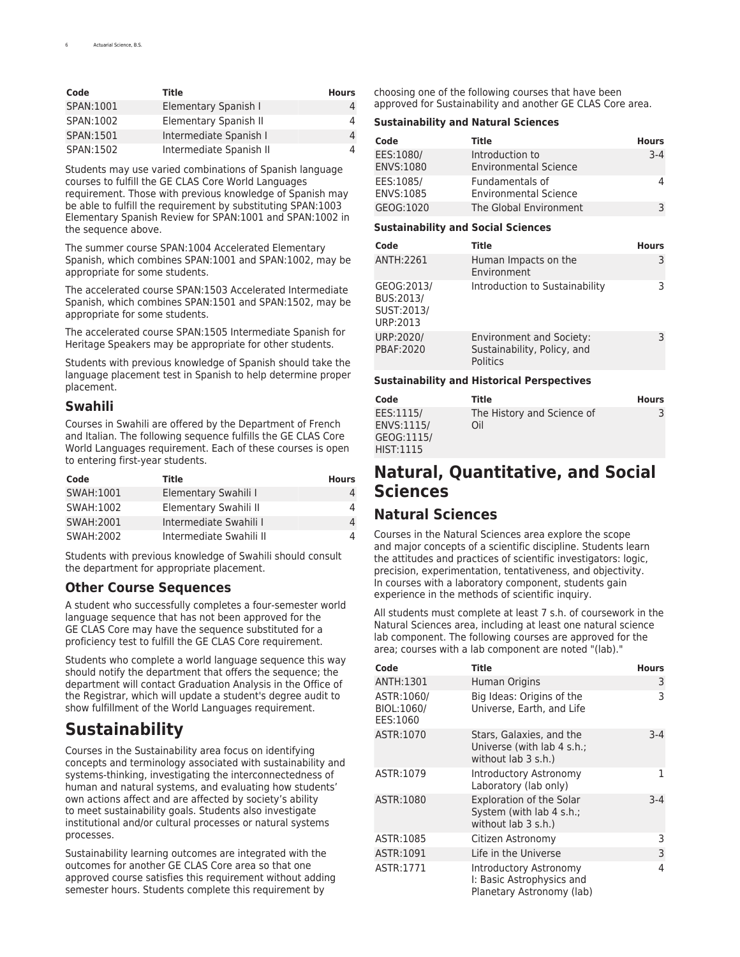| Code      | Title                   | <b>Hours</b> |
|-----------|-------------------------|--------------|
| SPAN:1001 | Elementary Spanish I    |              |
| SPAN:1002 | Elementary Spanish II   |              |
| SPAN:1501 | Intermediate Spanish I  |              |
| SPAN:1502 | Intermediate Spanish II |              |

Students may use varied combinations of Spanish language courses to fulfill the GE CLAS Core World Languages requirement. Those with previous knowledge of Spanish may be able to fulfill the requirement by substituting SPAN:1003 Elementary Spanish Review for SPAN:1001 and SPAN:1002 in the sequence above.

The summer course SPAN:1004 Accelerated Elementary Spanish, which combines SPAN:1001 and SPAN:1002, may be appropriate for some students.

The accelerated course SPAN:1503 Accelerated Intermediate Spanish, which combines SPAN:1501 and SPAN:1502, may be appropriate for some students.

The accelerated course SPAN:1505 Intermediate Spanish for Heritage Speakers may be appropriate for other students.

Students with previous knowledge of Spanish should take the [language placement test](https://newstudents.uiowa.edu/placement-tests/) in Spanish to help determine proper placement.

#### **Swahili**

Courses in Swahili are offered by the Department of [French](http://catalog.registrar.uiowa.edu/liberal-arts-sciences/french-italian/) [and Italian.](http://catalog.registrar.uiowa.edu/liberal-arts-sciences/french-italian/) The following sequence fulfills the GE CLAS Core World Languages requirement. Each of these courses is open to entering first-year students.

| Code       | Title                   | <b>Hours</b> |
|------------|-------------------------|--------------|
| SWAH:1001  | Elementary Swahili I    | 4            |
| SWAH:1002  | Elementary Swahili II   | 4            |
| SWAH: 2001 | Intermediate Swahili I  | 4            |
| SWAH:2002  | Intermediate Swahili II |              |

Students with previous knowledge of Swahili should consult the department for appropriate placement.

### **Other Course Sequences**

A student who successfully completes a four-semester world language sequence that has not been approved for the GE CLAS Core may have the sequence substituted for a proficiency test to fulfill the GE CLAS Core requirement.

Students who complete a world language sequence this way should notify the department that offers the sequence; the department will contact Graduation Analysis in the Office of the Registrar, which will update a student's degree audit to show fulfillment of the World Languages requirement.

## <span id="page-5-0"></span>**Sustainability**

Courses in the Sustainability area focus on identifying concepts and terminology associated with sustainability and systems-thinking, investigating the interconnectedness of human and natural systems, and evaluating how students' own actions affect and are affected by society's ability to meet sustainability goals. Students also investigate institutional and/or cultural processes or natural systems processes.

Sustainability learning outcomes are integrated with the outcomes for another GE CLAS Core area so that one approved course satisfies this requirement without adding semester hours. Students complete this requirement by

choosing one of the following courses that have been approved for Sustainability and another GE CLAS Core area.

#### **Sustainability and Natural Sciences**

| Code                   | Title                                           | <b>Hours</b> |
|------------------------|-------------------------------------------------|--------------|
| EES:1080/<br>ENVS:1080 | Introduction to<br><b>Environmental Science</b> | $3-4$        |
| EES:1085/<br>ENVS:1085 | Fundamentals of<br><b>Environmental Science</b> |              |
| GEOG:1020              | The Global Environment                          |              |

#### **Sustainability and Social Sciences**

| Code                                              | Title                                                                      | <b>Hours</b> |
|---------------------------------------------------|----------------------------------------------------------------------------|--------------|
| ANTH:2261                                         | Human Impacts on the<br>Environment                                        | 3            |
| GEOG:2013/<br>BUS:2013/<br>SUST:2013/<br>URP:2013 | Introduction to Sustainability                                             | 3            |
| URP:2020/<br>PBAF:2020                            | <b>Environment and Society:</b><br>Sustainability, Policy, and<br>Politics | 3            |

#### **Sustainability and Historical Perspectives**

| Code                                                      | Title                             | <b>Hours</b> |
|-----------------------------------------------------------|-----------------------------------|--------------|
| EES:1115/<br>ENVS:1115/<br>GEOG:1115/<br><b>HIST:1115</b> | The History and Science of<br>Oil |              |

## **Natural, Quantitative, and Social Sciences**

## <span id="page-5-1"></span>**Natural Sciences**

Courses in the Natural Sciences area explore the scope and major concepts of a scientific discipline. Students learn the attitudes and practices of scientific investigators: logic, precision, experimentation, tentativeness, and objectivity. In courses with a laboratory component, students gain experience in the methods of scientific inquiry.

All students must complete at least 7 s.h. of coursework in the Natural Sciences area, including at least one natural science lab component. The following courses are approved for the area; courses with a lab component are noted "(lab)."

| Code                                 | Title                                                                              | <b>Hours</b> |
|--------------------------------------|------------------------------------------------------------------------------------|--------------|
| ANTH:1301                            | Human Origins                                                                      | 3            |
| ASTR:1060/<br>BIOL:1060/<br>EES:1060 | Big Ideas: Origins of the<br>Universe, Earth, and Life                             | 3            |
| ASTR:1070                            | Stars, Galaxies, and the<br>Universe (with lab 4 s.h.;<br>without lab 3 s.h.)      | $3-4$        |
| ASTR:1079                            | Introductory Astronomy<br>Laboratory (lab only)                                    | 1            |
| ASTR:1080                            | <b>Exploration of the Solar</b><br>System (with lab 4 s.h.;<br>without lab 3 s.h.) | $3-4$        |
| ASTR:1085                            | Citizen Astronomy                                                                  | 3            |
| ASTR:1091                            | Life in the Universe                                                               | 3            |
| ASTR:1771                            | Introductory Astronomy<br>I: Basic Astrophysics and<br>Planetary Astronomy (lab)   | 4            |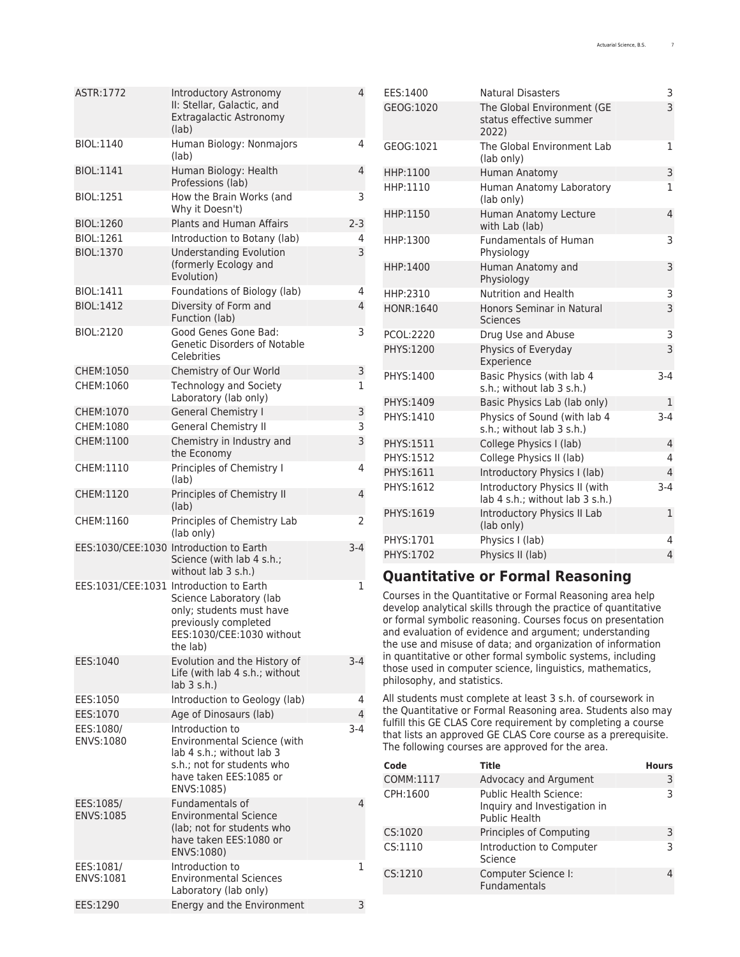| ASTR:1772              | Introductory Astronomy<br>II: Stellar, Galactic, and<br>Extragalactic Astronomy<br>(lab)                                                                        | 4              |
|------------------------|-----------------------------------------------------------------------------------------------------------------------------------------------------------------|----------------|
| BIOL:1140              | Human Biology: Nonmajors<br>(lab)                                                                                                                               | 4              |
| BIOL:1141              | Human Biology: Health<br>Professions (lab)                                                                                                                      | 4              |
| BIOL:1251              | How the Brain Works (and<br>Why it Doesn't)                                                                                                                     | 3              |
| BIOL:1260              | Plants and Human Affairs                                                                                                                                        | $2 - 3$        |
| BIOL:1261              | Introduction to Botany (lab)                                                                                                                                    | 4              |
| BIOL:1370              | <b>Understanding Evolution</b><br>(formerly Ecology and<br>Evolution)                                                                                           | 3              |
| <b>BIOL:1411</b>       | Foundations of Biology (lab)                                                                                                                                    | 4              |
| <b>BIOL:1412</b>       | Diversity of Form and<br>Function (lab)                                                                                                                         | 4              |
| BIOL:2120              | Good Genes Gone Bad:<br><b>Genetic Disorders of Notable</b><br>Celebrities                                                                                      | 3              |
| CHEM:1050              | Chemistry of Our World                                                                                                                                          | 3              |
| CHEM:1060              | Technology and Society<br>Laboratory (lab only)                                                                                                                 | 1              |
| CHEM:1070              | <b>General Chemistry I</b>                                                                                                                                      | 3              |
| CHEM:1080              | <b>General Chemistry II</b>                                                                                                                                     | 3              |
| CHEM:1100              | Chemistry in Industry and<br>the Economy                                                                                                                        | 3              |
| CHEM:1110              | Principles of Chemistry I<br>(lab)                                                                                                                              | 4              |
| CHEM:1120              | Principles of Chemistry II<br>(lab)                                                                                                                             | 4              |
| CHEM:1160              | Principles of Chemistry Lab<br>(lab only)                                                                                                                       | 2              |
|                        | EES:1030/CEE:1030 Introduction to Earth<br>Science (with lab 4 s.h.;<br>without $lab$ 3 s.h.)                                                                   | $3-4$          |
|                        | EES:1031/CEE:1031 Introduction to Earth<br>Science Laboratory (lab<br>only; students must have<br>previously completed<br>EES:1030/CEE:1030 without<br>the lab) | 1              |
| EES:1040               | Evolution and the History of<br>Life (with lab 4 s.h.; without<br>$lab$ 3 s.h.)                                                                                 | $3-4$          |
| EES:1050               | Introduction to Geology (lab)                                                                                                                                   | 4              |
| EES:1070               | Age of Dinosaurs (lab)                                                                                                                                          | $\overline{4}$ |
| EES:1080/<br>ENVS:1080 | Introduction to<br><b>Environmental Science (with)</b><br>lab 4 s.h.; without lab 3<br>s.h.: not for students who<br>have taken EES:1085 or<br>ENVS:1085)       | 3-4            |
| EES:1085/<br>ENVS:1085 | Fundamentals of<br><b>Environmental Science</b><br>(lab; not for students who<br>have taken EES:1080 or<br>ENVS:1080)                                           | 4              |
| EES:1081/<br>ENVS:1081 | Introduction to<br><b>Environmental Sciences</b><br>Laboratory (lab only)                                                                                       | 1              |
| EES:1290               | Energy and the Environment                                                                                                                                      | 3              |

| EES:1400  | <b>Natural Disasters</b>                                         | 3              |
|-----------|------------------------------------------------------------------|----------------|
| GEOG:1020 | The Global Environment (GE<br>status effective summer<br>2022)   | 3              |
| GEOG:1021 | The Global Environment Lab<br>(lab only)                         | 1              |
| HHP:1100  | Human Anatomy                                                    | 3              |
| HHP:1110  | Human Anatomy Laboratory<br>(lab only)                           | 1              |
| HHP:1150  | Human Anatomy Lecture<br>with Lab (lab)                          | $\overline{4}$ |
| HHP:1300  | <b>Fundamentals of Human</b><br>Physiology                       | 3              |
| HHP:1400  | Human Anatomy and<br>Physiology                                  | 3              |
| HHP:2310  | Nutrition and Health                                             | 3              |
| HONR:1640 | <b>Honors Seminar in Natural</b><br><b>Sciences</b>              | 3              |
| PCOL:2220 | Drug Use and Abuse                                               | 3              |
| PHYS:1200 | Physics of Everyday<br>Experience                                | 3              |
| PHYS:1400 | Basic Physics (with lab 4<br>s.h.; without lab 3 s.h.)           | $3-4$          |
| PHYS:1409 | Basic Physics Lab (lab only)                                     | $\mathbf{1}$   |
| PHYS:1410 | Physics of Sound (with lab 4<br>s.h.; without lab 3 s.h.)        | $3 - 4$        |
| PHYS:1511 | College Physics I (lab)                                          | $\overline{4}$ |
| PHYS:1512 | College Physics II (lab)                                         | 4              |
| PHYS:1611 | Introductory Physics I (lab)                                     | 4              |
| PHYS:1612 | Introductory Physics II (with<br>lab 4 s.h.; without lab 3 s.h.) | $3-4$          |
| PHYS:1619 | Introductory Physics II Lab<br>(lab only)                        | $\mathbf{1}$   |
| PHYS:1701 | Physics I (lab)                                                  | 4              |
| PHYS:1702 | Physics II (lab)                                                 | $\overline{4}$ |

## <span id="page-6-0"></span>**Quantitative or Formal Reasoning**

Courses in the Quantitative or Formal Reasoning area help develop analytical skills through the practice of quantitative or formal symbolic reasoning. Courses focus on presentation and evaluation of evidence and argument; understanding the use and misuse of data; and organization of information in quantitative or other formal symbolic systems, including those used in computer science, linguistics, mathematics, philosophy, and statistics.

All students must complete at least 3 s.h. of coursework in the Quantitative or Formal Reasoning area. Students also may fulfill this GE CLAS Core requirement by completing a course that lists an approved GE CLAS Core course as a prerequisite. The following courses are approved for the area.

| Code      | <b>Title</b>                                                                          | <b>Hours</b> |
|-----------|---------------------------------------------------------------------------------------|--------------|
| COMM:1117 | Advocacy and Argument                                                                 | 3            |
| CPH:1600  | <b>Public Health Science:</b><br>Inquiry and Investigation in<br><b>Public Health</b> | 3            |
| CS:1020   | Principles of Computing                                                               | 3            |
| CS:1110   | Introduction to Computer<br>Science                                                   | 3            |
| CS:1210   | Computer Science I:<br><b>Fundamentals</b>                                            | 4            |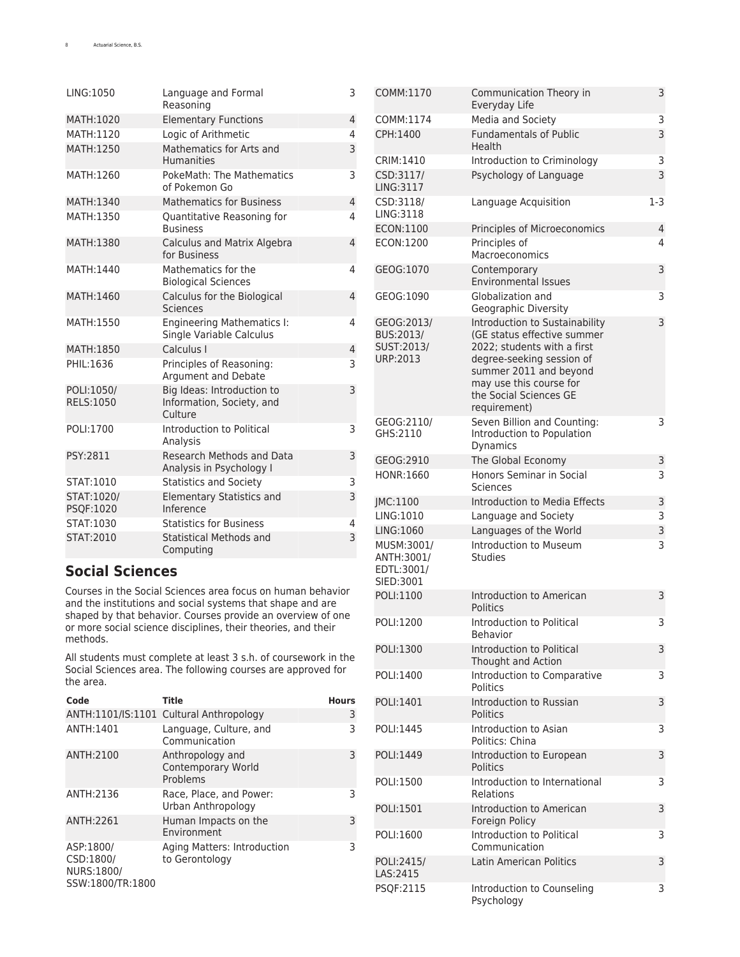| LING:1050                      | Language and Formal<br>Reasoning                                   | 3              |
|--------------------------------|--------------------------------------------------------------------|----------------|
| MATH:1020                      | <b>Elementary Functions</b>                                        | $\overline{4}$ |
| MATH:1120                      | Logic of Arithmetic                                                | 4              |
| MATH:1250                      | Mathematics for Arts and<br><b>Humanities</b>                      | 3              |
| MATH:1260                      | PokeMath: The Mathematics<br>of Pokemon Go                         | 3              |
| MATH:1340                      | <b>Mathematics for Business</b>                                    | $\overline{4}$ |
| MATH:1350                      | Quantitative Reasoning for<br><b>Business</b>                      | 4              |
| MATH:1380                      | Calculus and Matrix Algebra<br>for Business                        | $\overline{4}$ |
| MATH:1440                      | Mathematics for the<br><b>Biological Sciences</b>                  | 4              |
| MATH:1460                      | Calculus for the Biological<br><b>Sciences</b>                     | $\overline{4}$ |
| MATH:1550                      | <b>Engineering Mathematics I:</b><br>Single Variable Calculus      | 4              |
| MATH:1850                      | Calculus I                                                         | $\overline{4}$ |
| PHIL:1636                      | Principles of Reasoning:<br>Argument and Debate                    | 3              |
| POLI:1050/<br><b>RELS:1050</b> | Big Ideas: Introduction to<br>Information, Society, and<br>Culture | 3              |
| POLI:1700                      | Introduction to Political<br>Analysis                              | 3              |
| PSY:2811                       | Research Methods and Data<br>Analysis in Psychology I              | 3              |
| STAT:1010                      | <b>Statistics and Society</b>                                      | 3              |
| STAT:1020/<br>PSQF:1020        | <b>Elementary Statistics and</b><br>Inference                      | 3              |
| STAT:1030                      | <b>Statistics for Business</b>                                     | 4              |
| STAT:2010                      | <b>Statistical Methods and</b><br>Computing                        | 3              |

## <span id="page-7-0"></span>**Social Sciences**

Courses in the Social Sciences area focus on human behavior and the institutions and social systems that shape and are shaped by that behavior. Courses provide an overview of one or more social science disciplines, their theories, and their methods.

All students must complete at least 3 s.h. of coursework in the Social Sciences area. The following courses are approved for the area.

| Code                                                     | Title                                              | <b>Hours</b> |
|----------------------------------------------------------|----------------------------------------------------|--------------|
|                                                          | ANTH:1101/IS:1101 Cultural Anthropology            | 3            |
| ANTH:1401                                                | Language, Culture, and<br>Communication            | 3            |
| ANTH:2100                                                | Anthropology and<br>Contemporary World<br>Problems | 3            |
| ANTH:2136                                                | Race, Place, and Power:<br>Urban Anthropology      | 3            |
| ANTH:2261                                                | Human Impacts on the<br>Environment                | 3            |
| ASP:1800/<br>CSD:1800/<br>NURS:1800/<br>SSW:1800/TR:1800 | Aging Matters: Introduction<br>to Gerontology      | 3            |

| COMM:1170                                           | Communication Theory in<br>Everyday Life                                                                                                                                                                                 | 3   |
|-----------------------------------------------------|--------------------------------------------------------------------------------------------------------------------------------------------------------------------------------------------------------------------------|-----|
| COMM:1174                                           | Media and Society                                                                                                                                                                                                        | 3   |
| CPH:1400                                            | <b>Fundamentals of Public</b><br>Health                                                                                                                                                                                  | 3   |
| CRIM:1410                                           | Introduction to Criminology                                                                                                                                                                                              | 3   |
| CSD:3117/<br>LING:3117                              | Psychology of Language                                                                                                                                                                                                   | 3   |
| CSD:3118/<br>LING: 3118                             | Language Acquisition                                                                                                                                                                                                     | 1-3 |
| ECON:1100                                           | Principles of Microeconomics                                                                                                                                                                                             | 4   |
| ECON:1200                                           | Principles of<br>Macroeconomics                                                                                                                                                                                          | 4   |
| GEOG:1070                                           | Contemporary<br><b>Environmental Issues</b>                                                                                                                                                                              | 3   |
| GEOG:1090                                           | Globalization and<br>Geographic Diversity                                                                                                                                                                                | 3   |
| GEOG:2013/<br>BUS:2013/<br>SUST:2013/<br>URP:2013   | Introduction to Sustainability<br>(GE status effective summer<br>2022; students with a first<br>degree-seeking session of<br>summer 2011 and beyond<br>may use this course for<br>the Social Sciences GE<br>requirement) | 3   |
| GEOG:2110/<br>GHS:2110                              | Seven Billion and Counting:<br>Introduction to Population<br>Dynamics                                                                                                                                                    | 3   |
| GEOG:2910                                           | The Global Economy                                                                                                                                                                                                       | 3   |
| HONR:1660                                           | Honors Seminar in Social<br>Sciences                                                                                                                                                                                     | 3   |
| JMC:1100                                            | Introduction to Media Effects                                                                                                                                                                                            | 3   |
| LING:1010                                           | Language and Society                                                                                                                                                                                                     | 3   |
| LING:1060                                           | Languages of the World                                                                                                                                                                                                   | 3   |
| MUSM:3001/<br>ANTH:3001/<br>EDTL:3001/<br>SIED:3001 | Introduction to Museum<br><b>Studies</b>                                                                                                                                                                                 | 3   |
| POLI:1100                                           | Introduction to American<br><b>Politics</b>                                                                                                                                                                              | 3   |
| POLI:1200                                           | Introduction to Political<br>Behavior                                                                                                                                                                                    | 3   |
| POLI:1300                                           | Introduction to Political<br>Thought and Action                                                                                                                                                                          | 3   |
| POLI:1400                                           | Introduction to Comparative<br>Politics                                                                                                                                                                                  | 3   |
| POLI:1401                                           | Introduction to Russian<br>Politics                                                                                                                                                                                      | 3   |
| POLI:1445                                           | Introduction to Asian<br>Politics: China                                                                                                                                                                                 | 3   |
| POLI:1449                                           | Introduction to European<br><b>Politics</b>                                                                                                                                                                              | 3   |
| POLI:1500                                           | Introduction to International<br>Relations                                                                                                                                                                               | 3   |
| POLI:1501                                           | Introduction to American<br>Foreign Policy                                                                                                                                                                               | 3   |
| POLI:1600                                           | Introduction to Political<br>Communication                                                                                                                                                                               | 3   |
| POLI:2415/<br>LAS:2415                              | Latin American Politics                                                                                                                                                                                                  | 3   |
| PSQF:2115                                           | Introduction to Counseling<br>Psychology                                                                                                                                                                                 | 3   |
|                                                     |                                                                                                                                                                                                                          |     |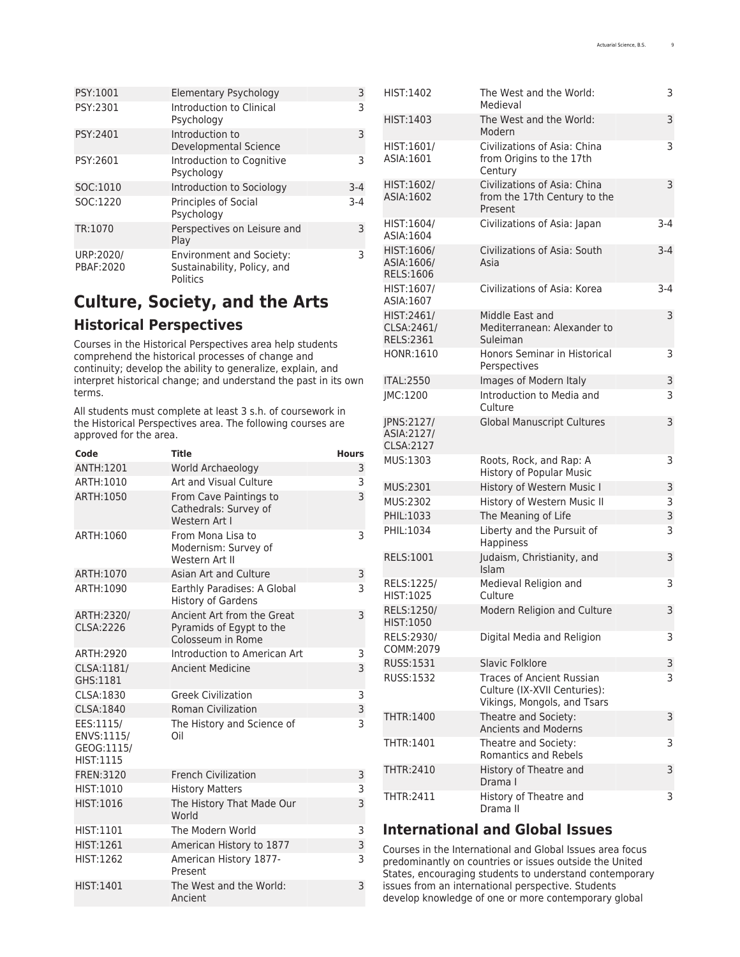| PSY:1001               | <b>Elementary Psychology</b>                                               | 3       |
|------------------------|----------------------------------------------------------------------------|---------|
| PSY:2301               | Introduction to Clinical<br>Psychology                                     | ς       |
| PSY:2401               | Introduction to<br>Developmental Science                                   | 3       |
| PSY:2601               | Introduction to Cognitive<br>Psychology                                    | ς       |
| SOC:1010               | Introduction to Sociology                                                  | $3 - 4$ |
| SOC:1220               | <b>Principles of Social</b><br>Psychology                                  | $3-4$   |
| TR:1070                | Perspectives on Leisure and<br>Play                                        | 3       |
| URP:2020/<br>PBAF:2020 | <b>Environment and Society:</b><br>Sustainability, Policy, and<br>Politics | ٦       |

## <span id="page-8-0"></span>**Culture, Society, and the Arts Historical Perspectives**

Courses in the Historical Perspectives area help students comprehend the historical processes of change and continuity; develop the ability to generalize, explain, and interpret historical change; and understand the past in its own terms.

All students must complete at least 3 s.h. of coursework in the Historical Perspectives area. The following courses are approved for the area.

| Code                                               | Title                                                                       | <b>Hours</b> |
|----------------------------------------------------|-----------------------------------------------------------------------------|--------------|
| ANTH:1201                                          | World Archaeology                                                           | 3            |
| ARTH:1010                                          | Art and Visual Culture                                                      | 3            |
| ARTH:1050                                          | From Cave Paintings to<br>Cathedrals: Survey of<br>Western Art I            | 3            |
| ARTH:1060                                          | From Mona Lisa to<br>Modernism: Survey of<br>Western Art II                 | 3            |
| ARTH:1070                                          | Asian Art and Culture                                                       | 3            |
| ARTH:1090                                          | Earthly Paradises: A Global<br><b>History of Gardens</b>                    | 3            |
| ARTH:2320/<br>CLSA: 2226                           | Ancient Art from the Great<br>Pyramids of Egypt to the<br>Colosseum in Rome | 3            |
| ARTH:2920                                          | Introduction to American Art                                                | 3            |
| CLSA:1181/<br>GHS:1181                             | <b>Ancient Medicine</b>                                                     | 3            |
| CLSA:1830                                          | <b>Greek Civilization</b>                                                   | 3            |
| CLSA:1840                                          | <b>Roman Civilization</b>                                                   | 3            |
| EES:1115/<br>ENVS:1115/<br>GEOG:1115/<br>HIST:1115 | The History and Science of<br>Oil                                           | 3            |
| FREN: 3120                                         | <b>French Civilization</b>                                                  | 3            |
| HIST:1010                                          | <b>History Matters</b>                                                      | 3            |
| HIST:1016                                          | The History That Made Our<br>World                                          | 3            |
| HIST:1101                                          | The Modern World                                                            | 3            |
| HIST:1261                                          | American History to 1877                                                    | 3            |
| HIST:1262                                          | American History 1877-<br>Present                                           | 3            |
| HIST:1401                                          | The West and the World:<br>Ancient                                          | 3            |

| HIST:1402                              | The West and the World:<br>Medieval                                                             | 3       |
|----------------------------------------|-------------------------------------------------------------------------------------------------|---------|
| HIST:1403                              | The West and the World:<br>Modern                                                               | 3       |
| HIST:1601/<br>ASIA:1601                | Civilizations of Asia: China<br>from Origins to the 17th<br>Century                             | 3       |
| HIST:1602/<br>ASIA:1602                | Civilizations of Asia: China<br>from the 17th Century to the<br>Present                         | 3       |
| HIST:1604/<br>ASIA:1604                | Civilizations of Asia: Japan                                                                    | $3 - 4$ |
| HIST:1606/<br>ASIA:1606/<br>RELS:1606  | Civilizations of Asia: South<br>Asia                                                            | $3 - 4$ |
| HIST:1607/<br>ASIA:1607                | Civilizations of Asia: Korea                                                                    | $3 - 4$ |
| HIST:2461/<br>CLSA: 2461/<br>RELS:2361 | Middle East and<br>Mediterranean: Alexander to<br>Suleiman                                      | 3       |
| HONR:1610                              | Honors Seminar in Historical<br>Perspectives                                                    | 3       |
| <b>ITAL:2550</b>                       | Images of Modern Italy                                                                          | 3       |
| JMC:1200                               | Introduction to Media and<br>Culture                                                            | 3       |
| JPNS:2127/<br>ASIA:2127/<br>CLSA: 2127 | <b>Global Manuscript Cultures</b>                                                               | 3       |
| MUS:1303                               | Roots, Rock, and Rap: A<br><b>History of Popular Music</b>                                      | 3       |
| MUS:2301                               | History of Western Music I                                                                      | 3       |
| MUS:2302                               | History of Western Music II                                                                     | 3       |
| PHIL:1033                              | The Meaning of Life                                                                             | 3       |
| PHIL:1034                              | Liberty and the Pursuit of<br><b>Happiness</b>                                                  | 3       |
| RELS:1001                              | Judaism, Christianity, and<br><b>Islam</b>                                                      | 3       |
| RELS:1225/<br>HIST:1025                | Medieval Religion and<br>Culture                                                                | 3       |
| RELS:1250/<br>HIST:1050                | Modern Religion and Culture                                                                     | 3       |
| RELS:2930/<br>COMM:2079                | Digital Media and Religion                                                                      | 3       |
| RUSS:1531                              | Slavic Folklore                                                                                 | 3       |
| RUSS:1532                              | <b>Traces of Ancient Russian</b><br>Culture (IX-XVII Centuries):<br>Vikings, Mongols, and Tsars | 3       |
| THTR:1400                              | Theatre and Society:<br><b>Ancients and Moderns</b>                                             | 3       |
| THTR:1401                              | Theatre and Society:<br><b>Romantics and Rebels</b>                                             | 3       |
| THTR:2410                              | History of Theatre and<br>Drama I                                                               | 3       |
| THTR:2411                              | History of Theatre and<br>Drama II                                                              | 3       |
|                                        |                                                                                                 |         |

## <span id="page-8-1"></span>**International and Global Issues**

Courses in the International and Global Issues area focus predominantly on countries or issues outside the United States, encouraging students to understand contemporary issues from an international perspective. Students develop knowledge of one or more contemporary global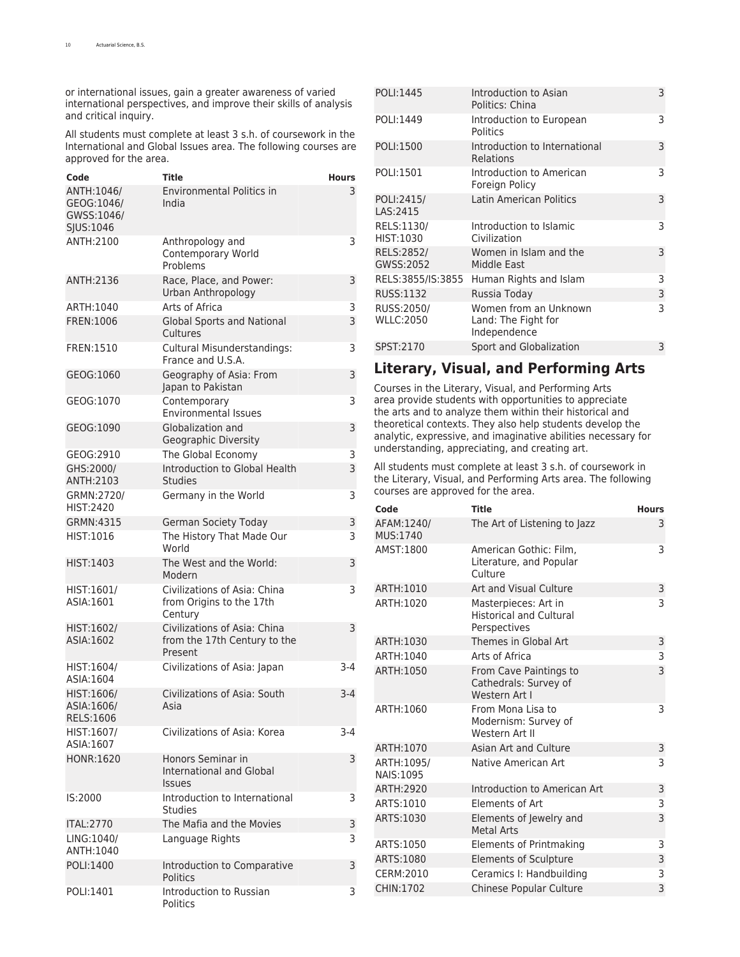or international issues, gain a greater awareness of varied international perspectives, and improve their skills of analysis and critical inquiry.

All students must complete at least 3 s.h. of coursework in the International and Global Issues area. The following courses are approved for the area.

| Code                                                 | Title                                                                   | Hours |
|------------------------------------------------------|-------------------------------------------------------------------------|-------|
| ANTH: 1046/<br>GEOG:1046/<br>GWSS:1046/<br>SJUS:1046 | <b>Environmental Politics in</b><br>India                               | 3     |
| ANTH:2100                                            | Anthropology and<br>Contemporary World<br>Problems                      | 3     |
| ANTH:2136                                            | Race, Place, and Power:<br>Urban Anthropology                           | 3     |
| ARTH:1040                                            | Arts of Africa                                                          | 3     |
| FREN:1006                                            | <b>Global Sports and National</b><br>Cultures                           | 3     |
| FREN:1510                                            | Cultural Misunderstandings:<br>France and U.S.A.                        | 3     |
| GEOG:1060                                            | Geography of Asia: From<br>Japan to Pakistan                            | 3     |
| GEOG:1070                                            | Contemporary<br><b>Environmental Issues</b>                             | 3     |
| GEOG:1090                                            | Globalization and<br>Geographic Diversity                               | 3     |
| GEOG:2910                                            | The Global Economy                                                      | 3     |
| GHS:2000/<br>ANTH:2103                               | Introduction to Global Health<br><b>Studies</b>                         | 3     |
| GRMN:2720/<br><b>HIST:2420</b>                       | Germany in the World                                                    | 3     |
| GRMN:4315                                            | <b>German Society Today</b>                                             | 3     |
| HIST:1016                                            | The History That Made Our<br>World                                      | 3     |
| HIST:1403                                            | The West and the World:<br>Modern                                       | 3     |
| HIST:1601/<br>ASIA:1601                              | Civilizations of Asia: China<br>from Origins to the 17th<br>Century     | 3     |
| HIST:1602/<br>ASIA:1602                              | Civilizations of Asia: China<br>from the 17th Century to the<br>Present | 3     |
| HIST:1604/<br>ASIA:1604                              | Civilizations of Asia: Japan                                            | $3-4$ |
| HIST:1606/<br>ASIA:1606/<br>RELS:1606                | Civilizations of Asia: South<br>Asia                                    | $3-4$ |
| HIST:1607/<br>ASIA:1607                              | Civilizations of Asia: Korea                                            | $3-4$ |
| <b>HONR:1620</b>                                     | Honors Seminar in<br><b>International and Global</b><br><b>Issues</b>   | 3     |
| IS:2000                                              | Introduction to International<br><b>Studies</b>                         | 3     |
| <b>ITAL:2770</b>                                     | The Mafia and the Movies                                                | 3     |
| LING:1040/<br>ANTH:1040                              | Language Rights                                                         | 3     |
| POLI:1400                                            | Introduction to Comparative<br><b>Politics</b>                          | 3     |
| POLI:1401                                            | Introduction to Russian<br><b>Politics</b>                              | 3     |

| POLI:1445                      | Introduction to Asian<br>Politics: China                     | 3 |
|--------------------------------|--------------------------------------------------------------|---|
| POLI:1449                      | Introduction to European<br>Politics                         | 3 |
| POLI:1500                      | Introduction to International<br>Relations                   | 3 |
| POLI:1501                      | Introduction to American<br>Foreign Policy                   | 3 |
| POLI:2415/<br>LAS: 2415        | Latin American Politics                                      | 3 |
| RELS:1130/<br>HIST:1030        | Introduction to Islamic<br>Civilization                      | 3 |
| RELS:2852/<br>GWSS:2052        | Women in Islam and the<br>Middle East                        | 3 |
| RELS:3855/IS:3855              | Human Rights and Islam                                       | 3 |
| RUSS:1132                      | Russia Today                                                 | 3 |
| RUSS:2050/<br><b>WLLC:2050</b> | Women from an Unknown<br>Land: The Fight for<br>Independence | 3 |
| SPST:2170                      | Sport and Globalization                                      | 3 |
|                                |                                                              |   |

## <span id="page-9-0"></span>**Literary, Visual, and Performing Arts**

Courses in the Literary, Visual, and Performing Arts area provide students with opportunities to appreciate the arts and to analyze them within their historical and theoretical contexts. They also help students develop the analytic, expressive, and imaginative abilities necessary for understanding, appreciating, and creating art.

All students must complete at least 3 s.h. of coursework in the Literary, Visual, and Performing Arts area. The following courses are approved for the area.

| Code                            | <b>Title</b>                                                           | <b>Hours</b> |
|---------------------------------|------------------------------------------------------------------------|--------------|
| AFAM:1240/<br>MUS:1740          | The Art of Listening to Jazz                                           | 3            |
| AMST:1800                       | American Gothic: Film.<br>Literature, and Popular<br>Culture           | 3            |
| ARTH:1010                       | Art and Visual Culture                                                 | 3            |
| ARTH:1020                       | Masterpieces: Art in<br><b>Historical and Cultural</b><br>Perspectives | 3            |
| ARTH:1030                       | Themes in Global Art                                                   | 3            |
| ARTH:1040                       | Arts of Africa                                                         | 3            |
| ARTH:1050                       | From Cave Paintings to<br>Cathedrals: Survey of<br>Western Art I       | 3            |
| ARTH:1060                       | From Mona Lisa to<br>Modernism: Survey of<br>Western Art II            | 3            |
| ARTH:1070                       | Asian Art and Culture                                                  | 3            |
| ARTH: 1095/<br><b>NAIS:1095</b> | Native American Art                                                    | 3            |
| ARTH:2920                       | <b>Introduction to American Art</b>                                    | 3            |
| ARTS:1010                       | Elements of Art                                                        | 3            |
| ARTS:1030                       | Elements of Jewelry and<br><b>Metal Arts</b>                           | 3            |
| ARTS:1050                       | Elements of Printmaking                                                | 3            |
| ARTS:1080                       | <b>Elements of Sculpture</b>                                           | 3            |
| CERM:2010                       | Ceramics I: Handbuilding                                               | 3            |
| CHIN:1702                       | <b>Chinese Popular Culture</b>                                         | 3            |
|                                 |                                                                        |              |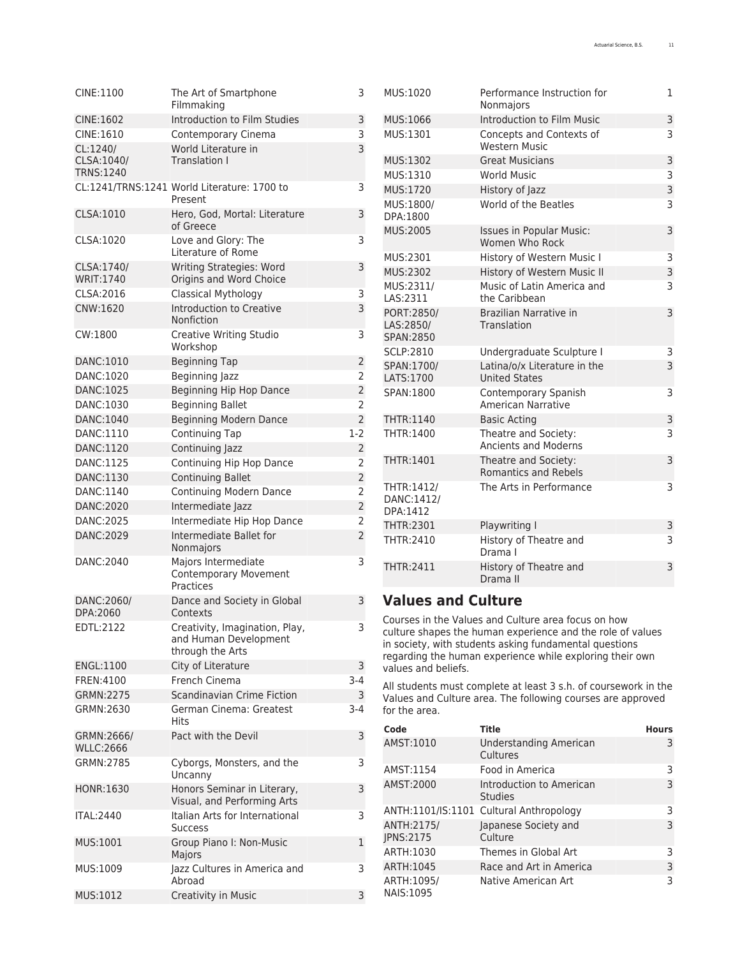| CINE:1100                      | The Art of Smartphone<br>Filmmaking                              | 3              | Ν                              |
|--------------------------------|------------------------------------------------------------------|----------------|--------------------------------|
| CINE:1602                      | Introduction to Film Studies                                     | 3              | Ν                              |
| CINE:1610                      | Contemporary Cinema                                              | 3              | Ν                              |
| CL:1240/                       | World Literature in                                              | 3              |                                |
| CLSA:1040/<br>TRNS:1240        | Translation I                                                    |                | $\boldsymbol{\mathsf{N}}$<br>Ν |
|                                | CL:1241/TRNS:1241 World Literature: 1700 to<br>Present           | 3              | $\mathsf{N}$<br>Ν              |
| CLSA:1010                      | Hero, God, Mortal: Literature<br>of Greece                       | 3              | D<br>$\overline{N}$            |
| CLSA:1020                      | Love and Glory: The<br>Literature of Rome                        | 3              | Ν                              |
| CLSA:1740/<br><b>WRIT:1740</b> | Writing Strategies: Word<br>Origins and Word Choice              | 3              | $\boldsymbol{\mathsf{N}}$      |
| CLSA:2016                      | Classical Mythology                                              | 3              | Ν<br>L                         |
| CNW:1620                       | Introduction to Creative<br>Nonfiction                           | 3              | P<br>L                         |
| CW:1800                        | Creative Writing Studio<br>Workshop                              | 3              | S<br>S                         |
| DANC:1010                      | <b>Beginning Tap</b>                                             | $\overline{c}$ | S                              |
| DANC:1020                      | Beginning Jazz                                                   | 2              | L                              |
| DANC:1025                      | Beginning Hip Hop Dance                                          | $\overline{c}$ | S                              |
| DANC:1030                      | <b>Beginning Ballet</b>                                          | 2              |                                |
| DANC:1040                      | Beginning Modern Dance                                           | $\overline{2}$ | T                              |
| DANC:1110                      | Continuing Tap                                                   | $1 - 2$        | T                              |
| DANC:1120                      | Continuing Jazz                                                  | $\overline{c}$ |                                |
| DANC:1125                      | Continuing Hip Hop Dance                                         | 2              | T                              |
| DANC:1130                      | <b>Continuing Ballet</b>                                         | $\overline{c}$ |                                |
| DANC:1140                      | <b>Continuing Modern Dance</b>                                   | 2              | T                              |
| DANC:2020                      | Intermediate Jazz                                                | $\overline{c}$ | D                              |
| DANC:2025                      | Intermediate Hip Hop Dance                                       | 2              | C                              |
| DANC:2029                      | Intermediate Ballet for                                          | $\overline{c}$ | T<br>T                         |
|                                | Nonmajors                                                        |                |                                |
| DANC:2040                      | Majors Intermediate<br><b>Contemporary Movement</b><br>Practices | 3              | T                              |
| DANC:2060/<br>DPA:2060         | Dance and Society in Global<br>Contexts                          | 3              |                                |
| EDTL:2122                      | Creativity, Imagination, Play,                                   | 3              | C<br>C                         |
|                                | and Human Development<br>through the Arts                        |                | ir<br>r                        |
| ENGL:1100                      | City of Literature                                               | 3              | V                              |
| FREN: 4100                     | French Cinema                                                    | $3-4$          | А                              |
| GRMN:2275                      | Scandinavian Crime Fiction                                       | 3              | ٧                              |
| GRMN:2630                      | German Cinema: Greatest<br>Hits                                  | $3 - 4$        | f                              |
| GRMN:2666/<br><b>WLLC:2666</b> | Pact with the Devil                                              | 3              | C<br>A                         |
| GRMN:2785                      | Cyborgs, Monsters, and the<br>Uncanny                            | 3              | A                              |
| <b>HONR:1630</b>               | Honors Seminar in Literary,<br>Visual, and Performing Arts       | 3              | A                              |
| <b>ITAL:2440</b>               | Italian Arts for International<br><b>Success</b>                 | 3              | A<br>$\overline{\mathcal{A}}$  |
| MUS:1001                       | Group Piano I: Non-Music<br>Majors                               | 1              | JI<br>A                        |
| MUS:1009                       | Jazz Cultures in America and<br>Abroad                           | 3              | A<br>A                         |
| MUS:1012                       | Creativity in Music                                              | 3              | Ν                              |

|  | MUS:1020                              | Performance Instruction for<br>Nonmajors             | 1 |
|--|---------------------------------------|------------------------------------------------------|---|
|  | MUS:1066                              | Introduction to Film Music                           | 3 |
|  | MUS:1301                              | Concepts and Contexts of<br><b>Western Music</b>     | 3 |
|  | MUS:1302                              | <b>Great Musicians</b>                               | 3 |
|  | MUS:1310                              | <b>World Music</b>                                   | 3 |
|  | MUS:1720                              | History of Jazz                                      | 3 |
|  | MUS:1800/<br>DPA:1800                 | World of the Beatles                                 | 3 |
|  | MUS:2005                              | <b>Issues in Popular Music:</b><br>Women Who Rock    | 3 |
|  | MUS:2301                              | History of Western Music I                           | 3 |
|  | MUS:2302                              | History of Western Music II                          | 3 |
|  | MUS:2311/<br>LAS:2311                 | Music of Latin America and<br>the Caribbean          | 3 |
|  | PORT:2850/<br>LAS:2850/<br>SPAN: 2850 | Brazilian Narrative in<br>Translation                | 3 |
|  | SCLP:2810                             | Undergraduate Sculpture I                            | 3 |
|  | SPAN:1700/<br>LATS:1700               | Latina/o/x Literature in the<br><b>United States</b> | 3 |
|  | SPAN:1800                             | Contemporary Spanish<br>American Narrative           | 3 |
|  | THTR:1140                             | <b>Basic Acting</b>                                  | 3 |
|  | THTR:1400                             | Theatre and Society:<br><b>Ancients and Moderns</b>  | 3 |
|  | THTR:1401                             | Theatre and Society:<br><b>Romantics and Rebels</b>  | 3 |
|  | THTR:1412/<br>DANC:1412/<br>DPA:1412  | The Arts in Performance                              | 3 |
|  | THTR:2301                             | Playwriting I                                        | 3 |
|  | THTR:2410                             | History of Theatre and<br>Drama I                    | 3 |
|  | <b>THTR:2411</b>                      | History of Theatre and<br>Drama II                   | 3 |

## <span id="page-10-0"></span>**Values and Culture**

Courses in the Values and Culture area focus on how culture shapes the human experience and the role of values in society, with students asking fundamental questions regarding the human experience while exploring their own values and beliefs.

All students must complete at least 3 s.h. of coursework in the Values and Culture area. The following courses are approved or the area.

|  | Code                     | Title                                      | <b>Hours</b> |
|--|--------------------------|--------------------------------------------|--------------|
|  | AMST:1010                | Understanding American<br>Cultures         | 3            |
|  | AMST:1154                | Food in America                            | 3            |
|  | AMST:2000                | Introduction to American<br><b>Studies</b> | 3            |
|  |                          | ANTH:1101/IS:1101 Cultural Anthropology    | 3            |
|  | ANTH: 2175/<br>JPNS:2175 | Japanese Society and<br>Culture            | 3            |
|  | ARTH:1030                | Themes in Global Art                       | 3            |
|  | ARTH:1045                | Race and Art in America                    | 3            |
|  | ARTH: 1095/<br>NAIS:1095 | Native American Art                        | 3            |